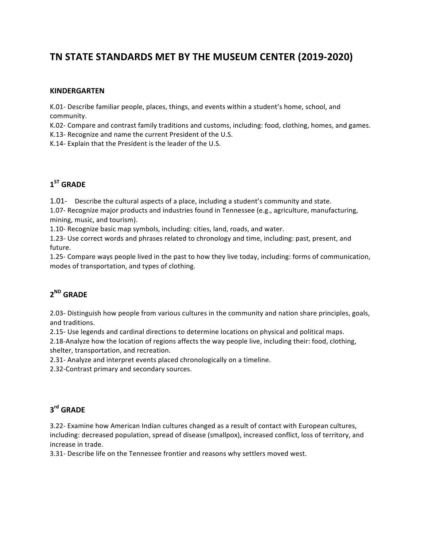# **TN STATE STANDARDS MET BY THE MUSEUM CENTER (2019-2020)**

### **KINDERGARTEN**

K.01- Describe familiar people, places, things, and events within a student's home, school, and community. 

K.02- Compare and contrast family traditions and customs, including: food, clothing, homes, and games. K.13- Recognize and name the current President of the U.S.

K.14- Explain that the President is the leader of the U.S.

## **1ST GRADE**

1.01- Describe the cultural aspects of a place, including a student's community and state.

1.07- Recognize major products and industries found in Tennessee (e.g., agriculture, manufacturing, mining, music, and tourism).

1.10- Recognize basic map symbols, including: cities, land, roads, and water.

1.23- Use correct words and phrases related to chronology and time, including: past, present, and future. 

1.25- Compare ways people lived in the past to how they live today, including: forms of communication, modes of transportation, and types of clothing.

## **2ND GRADE**

2.03- Distinguish how people from various cultures in the community and nation share principles, goals, and traditions.

2.15- Use legends and cardinal directions to determine locations on physical and political maps.

2.18-Analyze how the location of regions affects the way people live, including their: food, clothing, shelter, transportation, and recreation.

2.31- Analyze and interpret events placed chronologically on a timeline.

2.32-Contrast primary and secondary sources.

### **3rd GRADE**

3.22- Examine how American Indian cultures changed as a result of contact with European cultures, including: decreased population, spread of disease (smallpox), increased conflict, loss of territory, and increase in trade.

3.31- Describe life on the Tennessee frontier and reasons why settlers moved west.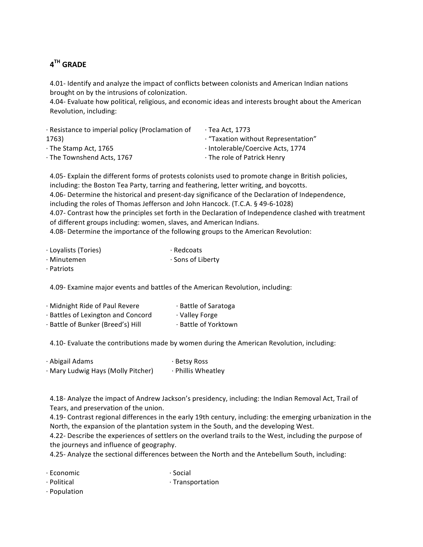# **4TH GRADE**

4.01- Identify and analyze the impact of conflicts between colonists and American Indian nations brought on by the intrusions of colonization.

4.04- Evaluate how political, religious, and economic ideas and interests brought about the American Revolution, including:

| · Resistance to imperial policy (Proclamation of | $\cdot$ Tea Act, 1773               |
|--------------------------------------------------|-------------------------------------|
| 1763)                                            | · "Taxation without Representation" |
| $\cdot$ The Stamp Act, 1765                      | · Intolerable/Coercive Acts, 1774   |
| · The Townshend Acts. 1767                       | · The role of Patrick Henry         |
|                                                  |                                     |

4.05- Explain the different forms of protests colonists used to promote change in British policies, including: the Boston Tea Party, tarring and feathering, letter writing, and boycotts. 4.06- Determine the historical and present-day significance of the Declaration of Independence, including the roles of Thomas Jefferson and John Hancock. (T.C.A. § 49-6-1028) 4.07- Contrast how the principles set forth in the Declaration of Independence clashed with treatment of different groups including: women, slaves, and American Indians. 4.08- Determine the importance of the following groups to the American Revolution:

- · Loyalists (Tories) · Minutemen · Redcoats · Sons of Liberty
- · Patriots

4.09- Examine major events and battles of the American Revolution, including:

| · Midnight Ride of Paul Revere     | · Battle of Saratoga |
|------------------------------------|----------------------|
| · Battles of Lexington and Concord | · Valley Forge       |
| · Battle of Bunker (Breed's) Hill  | · Battle of Yorktown |

4.10- Evaluate the contributions made by women during the American Revolution, including:

| · Abigail Adams                    | · Betsy Ross       |
|------------------------------------|--------------------|
| · Mary Ludwig Hays (Molly Pitcher) | · Phillis Wheatley |

4.18- Analyze the impact of Andrew Jackson's presidency, including: the Indian Removal Act, Trail of Tears, and preservation of the union.

4.19- Contrast regional differences in the early 19th century, including: the emerging urbanization in the North, the expansion of the plantation system in the South, and the developing West.

4.22- Describe the experiences of settlers on the overland trails to the West, including the purpose of the journeys and influence of geography.

4.25- Analyze the sectional differences between the North and the Antebellum South, including:

- · Economic · Social
- · Political · Transportation
- · Population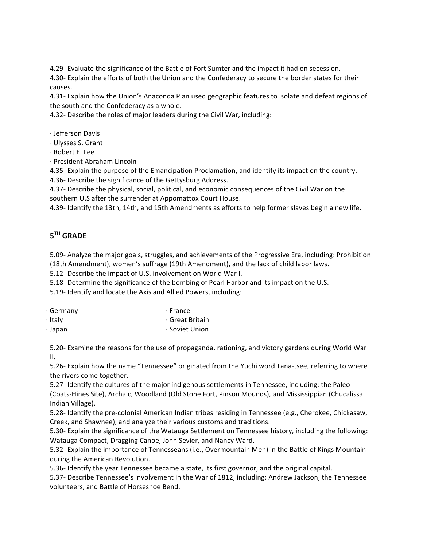4.29- Evaluate the significance of the Battle of Fort Sumter and the impact it had on secession.

4.30- Explain the efforts of both the Union and the Confederacy to secure the border states for their causes. 

4.31- Explain how the Union's Anaconda Plan used geographic features to isolate and defeat regions of the south and the Confederacy as a whole.

4.32- Describe the roles of major leaders during the Civil War, including:

- · Jefferson Davis
- · Ulysses S. Grant
- · Robert E. Lee
- · President Abraham Lincoln

4.35- Explain the purpose of the Emancipation Proclamation, and identify its impact on the country. 4.36- Describe the significance of the Gettysburg Address.

4.37- Describe the physical, social, political, and economic consequences of the Civil War on the southern U.S after the surrender at Appomattox Court House.

4.39- Identify the 13th, 14th, and 15th Amendments as efforts to help former slaves begin a new life.

# **5TH GRADE**

5.09- Analyze the major goals, struggles, and achievements of the Progressive Era, including: Prohibition (18th Amendment), women's suffrage (19th Amendment), and the lack of child labor laws.

5.12- Describe the impact of U.S. involvement on World War I.

5.18- Determine the significance of the bombing of Pearl Harbor and its impact on the U.S.

5.19- Identify and locate the Axis and Allied Powers, including:

| · Germany | $\cdot$ France  |
|-----------|-----------------|
| · Italy   | ⋅ Great Britain |
| · Japan   | · Soviet Union  |

5.20- Examine the reasons for the use of propaganda, rationing, and victory gardens during World War II. 

5.26- Explain how the name "Tennessee" originated from the Yuchi word Tana-tsee, referring to where the rivers come together.

5.27- Identify the cultures of the major indigenous settlements in Tennessee, including: the Paleo (Coats-Hines Site), Archaic, Woodland (Old Stone Fort, Pinson Mounds), and Mississippian (Chucalissa Indian Village). 

5.28- Identify the pre-colonial American Indian tribes residing in Tennessee (e.g., Cherokee, Chickasaw, Creek, and Shawnee), and analyze their various customs and traditions.

5.30- Explain the significance of the Watauga Settlement on Tennessee history, including the following: Watauga Compact, Dragging Canoe, John Sevier, and Nancy Ward.

5.32- Explain the importance of Tennesseans (i.e., Overmountain Men) in the Battle of Kings Mountain during the American Revolution.

5.36- Identify the year Tennessee became a state, its first governor, and the original capital.

5.37- Describe Tennessee's involvement in the War of 1812, including: Andrew Jackson, the Tennessee volunteers, and Battle of Horseshoe Bend.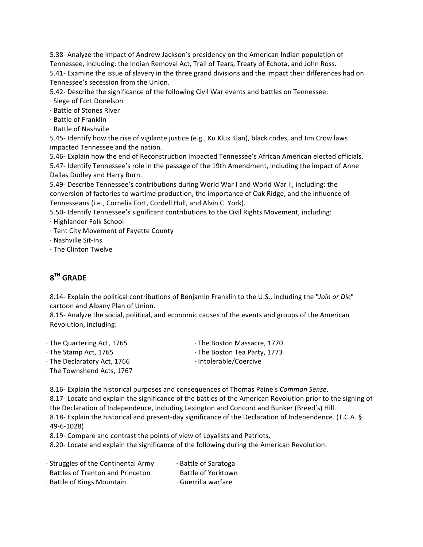5.38- Analyze the impact of Andrew Jackson's presidency on the American Indian population of Tennessee, including: the Indian Removal Act, Trail of Tears, Treaty of Echota, and John Ross.

5.41- Examine the issue of slavery in the three grand divisions and the impact their differences had on Tennessee's secession from the Union.

5.42- Describe the significance of the following Civil War events and battles on Tennessee:

- · Siege of Fort Donelson
- · Battle of Stones River
- · Battle of Franklin
- · Battle of Nashville

5.45- Identify how the rise of vigilante justice (e.g., Ku Klux Klan), black codes, and Jim Crow laws impacted Tennessee and the nation.

5.46- Explain how the end of Reconstruction impacted Tennessee's African American elected officials. 5.47- Identify Tennessee's role in the passage of the 19th Amendment, including the impact of Anne Dallas Dudley and Harry Burn.

5.49- Describe Tennessee's contributions during World War I and World War II, including: the conversion of factories to wartime production, the importance of Oak Ridge, and the influence of Tennesseans (i.e., Cornelia Fort, Cordell Hull, and Alvin C. York).

5.50- Identify Tennessee's significant contributions to the Civil Rights Movement, including:

- · Highlander Folk School
- · Tent City Movement of Fayette County
- · Nashville Sit-Ins
- $\cdot$  The Clinton Twelve

## **8TH GRADE**

8.14- Explain the political contributions of Benjamin Franklin to the U.S., including the "Join or Die" cartoon and Albany Plan of Union.

8.15- Analyze the social, political, and economic causes of the events and groups of the American Revolution, including:

- $\cdot$  The Quartering Act, 1765 · The Boston Massacre, 1770
- $\cdot$  The Stamp Act, 1765 · The Declaratory Act, 1766
- · The Boston Tea Party, 1773
- · Intolerable/Coercive

 $\cdot$  The Townshend Acts, 1767

8.16- Explain the historical purposes and consequences of Thomas Paine's *Common Sense*. 8.17- Locate and explain the significance of the battles of the American Revolution prior to the signing of the Declaration of Independence, including Lexington and Concord and Bunker (Breed's) Hill. 8.18- Explain the historical and present-day significance of the Declaration of Independence. (T.C.A. § 49-6-1028) 

8.19- Compare and contrast the points of view of Loyalists and Patriots.

8.20- Locate and explain the significance of the following during the American Revolution:

· Struggles of the Continental Army · Battles of Trenton and Princeton · Battle of Kings Mountain · Battle of Saratoga · Battle of Yorktown · Guerrilla warfare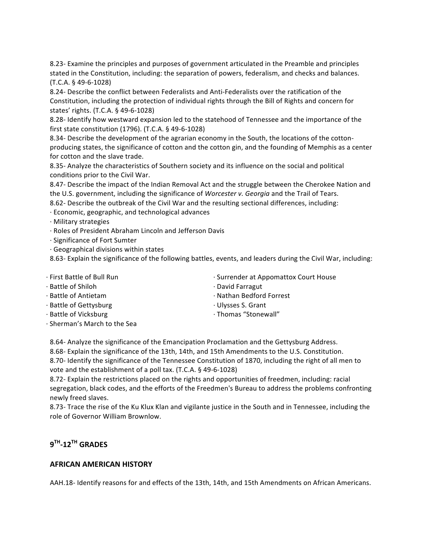8.23- Examine the principles and purposes of government articulated in the Preamble and principles stated in the Constitution, including: the separation of powers, federalism, and checks and balances. (T.C.A. § 49-6-1028) 

8.24- Describe the conflict between Federalists and Anti-Federalists over the ratification of the Constitution, including the protection of individual rights through the Bill of Rights and concern for states' rights. (T.C.A. § 49-6-1028)

8.28- Identify how westward expansion led to the statehood of Tennessee and the importance of the first state constitution  $(1796)$ .  $(T.C.A. § 49-6-1028)$ 

8.34- Describe the development of the agrarian economy in the South, the locations of the cottonproducing states, the significance of cotton and the cotton gin, and the founding of Memphis as a center for cotton and the slave trade.

8.35- Analyze the characteristics of Southern society and its influence on the social and political conditions prior to the Civil War.

8.47- Describe the impact of the Indian Removal Act and the struggle between the Cherokee Nation and the U.S. government, including the significance of *Worcester v. Georgia* and the Trail of Tears.

8.62- Describe the outbreak of the Civil War and the resulting sectional differences, including:

· Economic, geographic, and technological advances 

· Military strategies 

- · Roles of President Abraham Lincoln and Jefferson Davis
- · Significance of Fort Sumter
- $\cdot$  Geographical divisions within states

8.63- Explain the significance of the following battles, events, and leaders during the Civil War, including:

- · First Battle of Bull Run
- · Battle of Shiloh
- · Battle of Antietam
- · Battle of Gettysburg
- · Battle of Vicksburg
- · Sherman's March to the Sea
- · Surrender at Appomattox Court House
- · David Farragut
- · Nathan Bedford Forrest
- · Ulysses S. Grant
- · Thomas "Stonewall"

8.64- Analyze the significance of the Emancipation Proclamation and the Gettysburg Address.

8.68- Explain the significance of the 13th, 14th, and 15th Amendments to the U.S. Constitution.

8.70- Identify the significance of the Tennessee Constitution of 1870, including the right of all men to vote and the establishment of a poll tax. (T.C.A. § 49-6-1028)

8.72- Explain the restrictions placed on the rights and opportunities of freedmen, including: racial segregation, black codes, and the efforts of the Freedmen's Bureau to address the problems confronting newly freed slaves. 

8.73- Trace the rise of the Ku Klux Klan and vigilante justice in the South and in Tennessee, including the role of Governor William Brownlow.

## **9TH-12TH GRADES**

### **AFRICAN AMERICAN HISTORY**

AAH.18- Identify reasons for and effects of the 13th, 14th, and 15th Amendments on African Americans.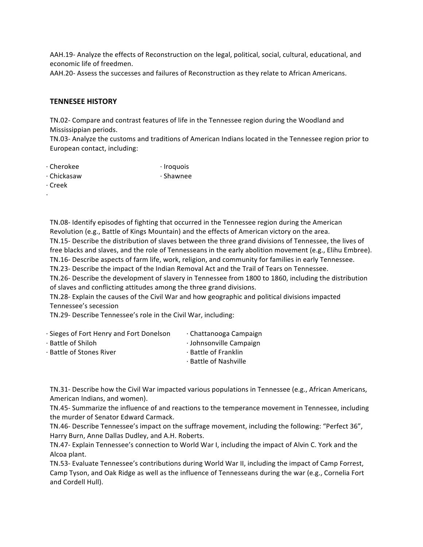AAH.19- Analyze the effects of Reconstruction on the legal, political, social, cultural, educational, and economic life of freedmen.

AAH.20- Assess the successes and failures of Reconstruction as they relate to African Americans.

#### **TENNESEE HISTORY**

TN.02- Compare and contrast features of life in the Tennessee region during the Woodland and Mississippian periods.

· Shawnee 

TN.03- Analyze the customs and traditions of American Indians located in the Tennessee region prior to European contact, including:

- · Cherokee · Iroquois
- · Chickasaw
- · Creek

· 

TN.08- Identify episodes of fighting that occurred in the Tennessee region during the American Revolution (e.g., Battle of Kings Mountain) and the effects of American victory on the area. TN.15- Describe the distribution of slaves between the three grand divisions of Tennessee, the lives of free blacks and slaves, and the role of Tennesseans in the early abolition movement (e.g., Elihu Embree). TN.16- Describe aspects of farm life, work, religion, and community for families in early Tennessee.

TN.23- Describe the impact of the Indian Removal Act and the Trail of Tears on Tennessee.

TN.26- Describe the development of slavery in Tennessee from 1800 to 1860, including the distribution of slaves and conflicting attitudes among the three grand divisions.

TN.28- Explain the causes of the Civil War and how geographic and political divisions impacted Tennessee's secession

TN.29- Describe Tennessee's role in the Civil War, including:

| Sieges of Fort Henry and Fort Donelson | · Chattanooga Campaign  |
|----------------------------------------|-------------------------|
| · Battle of Shiloh                     | · Johnsonville Campaign |
| · Battle of Stones River               | ⋅ Battle of Franklin    |
|                                        | ⋅ Battle of Nashville   |
|                                        |                         |

TN.31- Describe how the Civil War impacted various populations in Tennessee (e.g., African Americans, American Indians, and women).

TN.45- Summarize the influence of and reactions to the temperance movement in Tennessee, including the murder of Senator Edward Carmack.

TN.46- Describe Tennessee's impact on the suffrage movement, including the following: "Perfect 36", Harry Burn, Anne Dallas Dudley, and A.H. Roberts.

TN.47- Explain Tennessee's connection to World War I, including the impact of Alvin C. York and the Alcoa plant. 

TN.53- Evaluate Tennessee's contributions during World War II, including the impact of Camp Forrest, Camp Tyson, and Oak Ridge as well as the influence of Tennesseans during the war (e.g., Cornelia Fort and Cordell Hull).